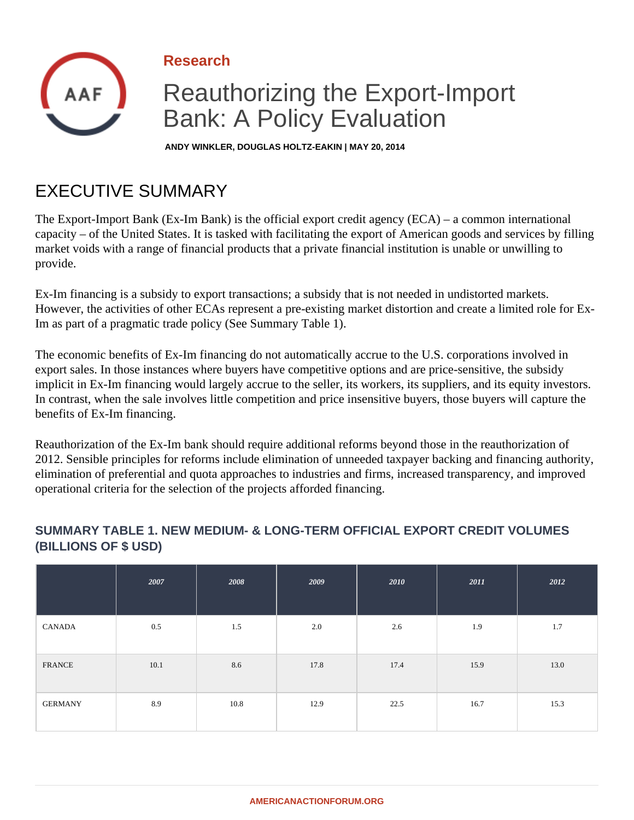

**ANDY WINKLER, DOUGLAS HOLTZ-EAKIN | MAY 20, 2014**

# EXECUTIVE SUMMARY

The Export-Import Bank (Ex-Im Bank) is the official export credit agency (ECA) – a common international capacity – of the United States. It is tasked with facilitating the export of American goods and services by filling market voids with a range of financial products that a private financial institution is unable or unwilling to provide.

Ex-Im financing is a subsidy to export transactions; a subsidy that is not needed in undistorted markets. However, the activities of other ECAs represent a pre-existing market distortion and create a limited role for Ex-Im as part of a pragmatic trade policy (See Summary Table 1).

The economic benefits of Ex-Im financing do not automatically accrue to the U.S. corporations involved in export sales. In those instances where buyers have competitive options and are price-sensitive, the subsidy implicit in Ex-Im financing would largely accrue to the seller, its workers, its suppliers, and its equity investors. In contrast, when the sale involves little competition and price insensitive buyers, those buyers will capture the benefits of Ex-Im financing.

Reauthorization of the Ex-Im bank should require additional reforms beyond those in the reauthorization of 2012. Sensible principles for reforms include elimination of unneeded taxpayer backing and financing authority, elimination of preferential and quota approaches to industries and firms, increased transparency, and improved operational criteria for the selection of the projects afforded financing.

#### **SUMMARY TABLE 1. NEW MEDIUM- & LONG-TERM OFFICIAL EXPORT CREDIT VOLUMES (BILLIONS OF \$ USD)**

|                | 2007 | 2008 | 2009 | 2010 | 2011 | 2012 |
|----------------|------|------|------|------|------|------|
| CANADA         | 0.5  | 1.5  | 2.0  | 2.6  | 1.9  | 1.7  |
| <b>FRANCE</b>  | 10.1 | 8.6  | 17.8 | 17.4 | 15.9 | 13.0 |
| <b>GERMANY</b> | 8.9  | 10.8 | 12.9 | 22.5 | 16.7 | 15.3 |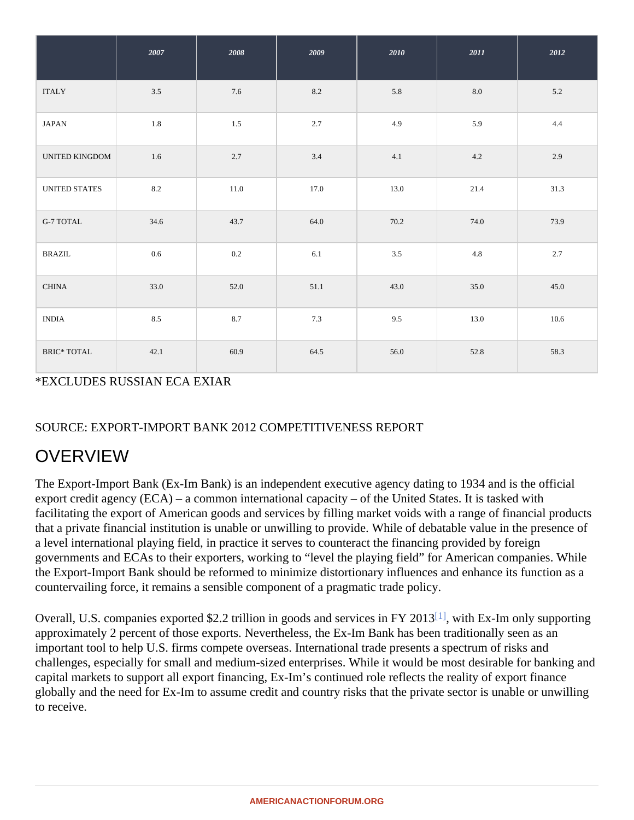<span id="page-1-0"></span>

|                    | 2007 | 2008    | 2009 | 2010    | 2011 | 2012  |
|--------------------|------|---------|------|---------|------|-------|
| <b>ITALY</b>       | 3.5  | 7.6     | 8.2  | $5.8\,$ | 8.0  | $5.2$ |
| <b>JAPAN</b>       | 1.8  | $1.5\,$ | 2.7  | 4.9     | 5.9  | 4.4   |
| UNITED KINGDOM     | 1.6  | 2.7     | 3.4  | 4.1     | 4.2  | 2.9   |
| UNITED STATES      | 8.2  | 11.0    | 17.0 | 13.0    | 21.4 | 31.3  |
| <b>G-7 TOTAL</b>   | 34.6 | 43.7    | 64.0 | 70.2    | 74.0 | 73.9  |
| <b>BRAZIL</b>      | 0.6  | 0.2     | 6.1  | 3.5     | 4.8  | 2.7   |
| <b>CHINA</b>       | 33.0 | 52.0    | 51.1 | 43.0    | 35.0 | 45.0  |
| <b>INDIA</b>       | 8.5  | 8.7     | 7.3  | 9.5     | 13.0 | 10.6  |
| <b>BRIC* TOTAL</b> | 42.1 | 60.9    | 64.5 | 56.0    | 52.8 | 58.3  |

\*EXCLUDES RUSSIAN ECA EXIAR

### SOURCE: EXPORT-IMPORT BANK 2012 COMPETITIVENESS REPORT

## **OVERVIEW**

The Export-Import Bank (Ex-Im Bank) is an independent executive agency dating to 1934 and is the official export credit agency (ECA) – a common international capacity – of the United States. It is tasked with facilitating the export of American goods and services by filling market voids with a range of financial products that a private financial institution is unable or unwilling to provide. While of debatable value in the presence of a level international playing field, in practice it serves to counteract the financing provided by foreign governments and ECAs to their exporters, working to "level the playing field" for American companies. While the Export-Import Bank should be reformed to minimize distortionary influences and enhance its function as a countervailing force, it remains a sensible component of a pragmatic trade policy.

Overall, U.S. companies exported \$2.2 trillion in goods and services in FY 2016 [13], Ex-Im only supporting approximately 2 percent of those exports. Nevertheless, the Ex-Im Bank has been traditionally seen as an important tool to help U.S. firms compete overseas. International trade presents a spectrum of risks and challenges, especially for small and medium-sized enterprises. While it would be most desirable for banking a capital markets to support all export financing, Ex-Im's continued role reflects the reality of export finance globally and the need for Ex-Im to assume credit and country risks that the private sector is unable or unwillin to receive.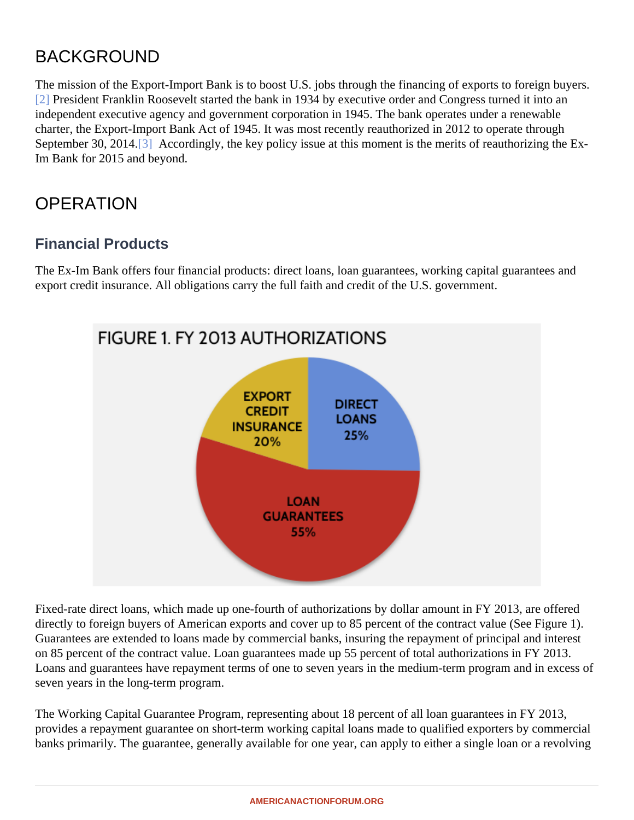## BACKGROUND

The mission of the Export-Import Bank is to boost U.S. jobs through the financing of exports to foreign buyers. [2] President Franklin Roosevelt started the bank in 1934 by executive order and Congress turned it into an independent executive agency and government corporation in 1945. The bank operates under a renewable charter, the Export-Import Bank Act of 1945. It was most recently reauthorized in 2012 to operate through September 30, 2014. Accordingly, the key policy issue at this moment is the merits of reauthorizing the Ex-Im Bank for 2015 and beyond.

## **OPERATION**

### Financial Products

The Ex-Im Bank offers four financial products: direct loans, loan guarantees, working capital guarantees and export credit insurance. All obligations carry the full faith and credit of the U.S. government.

Fixed-rate direct loans, which made up one-fourth of authorizations by dollar amount in FY 2013, are offered directly to foreign buyers of American exports and cover up to 85 percent of the contract value (See Figure 1). Guarantees are extended to loans made by commercial banks, insuring the repayment of principal and intere on 85 percent of the contract value. Loan guarantees made up 55 percent of total authorizations in FY 2013. Loans and guarantees have repayment terms of one to seven years in the medium-term program and in exce seven years in the long-term program.

The Working Capital Guarantee Program, representing about 18 percent of all loan guarantees in FY 2013, provides a repayment guarantee on short-term working capital loans made to qualified exporters by commerc banks primarily. The guarantee, generally available for one year, can apply to either a single loan or a revolvi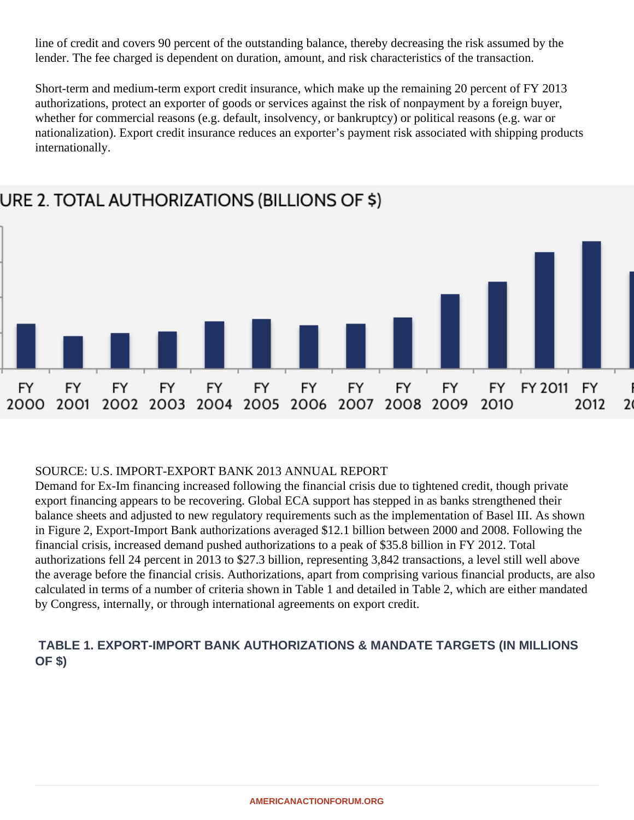line of credit and covers 90 percent of the outstanding balance, thereby decreasing the risk assumed by the lender. The fee charged is dependent on duration, amount, and risk characteristics of the transaction.

Short-term and medium-term export credit insurance, which make up the remaining 20 percent of FY 2013 authorizations, protect an exporter of goods or services against the risk of nonpayment by a foreign buyer, whether for commercial reasons (e.g. default, insolvency, or bankruptcy) or political reasons (e.g. war or nationalization). Export credit insurance reduces an exporter's payment risk associated with shipping products internationally.



# URE 2. TOTAL AUTHORIZATIONS (BILLIONS OF \$)

#### SOURCE: U.S. IMPORT-EXPORT BANK 2013 ANNUAL REPORT

Demand for Ex-Im financing increased following the financial crisis due to tightened credit, though private export financing appears to be recovering. Global ECA support has stepped in as banks strengthened their balance sheets and adjusted to new regulatory requirements such as the implementation of Basel III. As shown in Figure 2, Export-Import Bank authorizations averaged \$12.1 billion between 2000 and 2008. Following the financial crisis, increased demand pushed authorizations to a peak of \$35.8 billion in FY 2012. Total authorizations fell 24 percent in 2013 to \$27.3 billion, representing 3,842 transactions, a level still well above the average before the financial crisis. Authorizations, apart from comprising various financial products, are also calculated in terms of a number of criteria shown in Table 1 and detailed in Table 2, which are either mandated by Congress, internally, or through international agreements on export credit.

#### **TABLE 1. EXPORT-IMPORT BANK AUTHORIZATIONS & MANDATE TARGETS (IN MILLIONS OF \$)**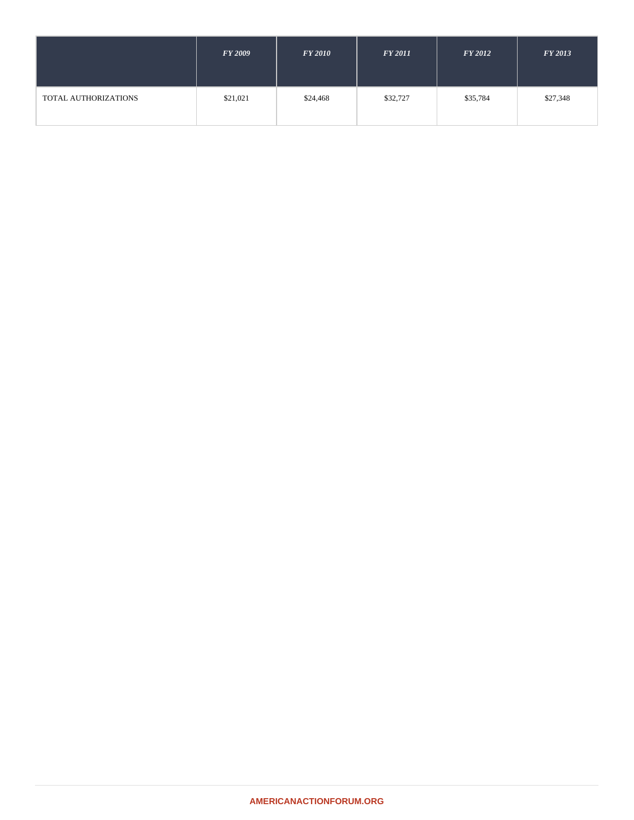|                      | <b>FY 2009</b> | <b>FY 2010</b> | <b>FY 2011</b> | $FY$ 2012 | <b>FY 2013</b> |
|----------------------|----------------|----------------|----------------|-----------|----------------|
| TOTAL AUTHORIZATIONS | \$21,021       | \$24,468       | \$32,727       | \$35,784  | \$27,348       |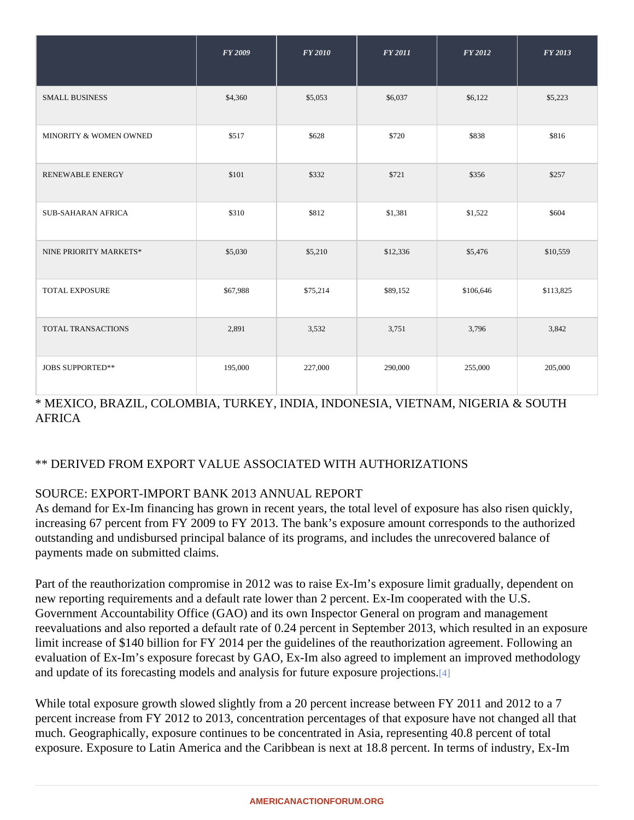|                           | FY 2009  | FY 2010  | FY 2011  | FY 2012   | FY 2013   |
|---------------------------|----------|----------|----------|-----------|-----------|
| <b>SMALL BUSINESS</b>     | \$4,360  | \$5,053  | \$6,037  | \$6,122   | \$5,223   |
| MINORITY & WOMEN OWNED    | \$517    | \$628    | \$720    | \$838     | \$816     |
| <b>RENEWABLE ENERGY</b>   | \$101    | \$332    | \$721    | \$356     | \$257     |
| <b>SUB-SAHARAN AFRICA</b> | \$310    | \$812    | \$1,381  | \$1,522   | \$604     |
| NINE PRIORITY MARKETS*    | \$5,030  | \$5,210  | \$12,336 | \$5,476   | \$10,559  |
| <b>TOTAL EXPOSURE</b>     | \$67,988 | \$75,214 | \$89,152 | \$106,646 | \$113,825 |
| <b>TOTAL TRANSACTIONS</b> | 2,891    | 3,532    | 3,751    | 3,796     | 3,842     |
| <b>JOBS SUPPORTED**</b>   | 195,000  | 227,000  | 290,000  | 255,000   | 205,000   |

\* MEXICO, BRAZIL, COLOMBIA, TURKEY, INDIA, INDONESIA, VIETNAM, NIGERIA & SOUTH AFRICA

#### \*\* DERIVED FROM EXPORT VALUE ASSOCIATED WITH AUTHORIZATIONS

#### SOURCE: EXPORT-IMPORT BANK 2013 ANNUAL REPORT

As demand for Ex-Im financing has grown in recent years, the total level of exposure has also risen quickly, increasing 67 percent from FY 2009 to FY 2013. The bank's exposure amount corresponds to the authorized outstanding and undisbursed principal balance of its programs, and includes the unrecovered balance of payments made on submitted claims.

Part of the reauthorization compromise in 2012 was to raise Ex-Im's exposure limit gradually, dependent on new reporting requirements and a default rate lower than 2 percent. Ex-Im cooperated with the U.S. Government Accountability Office (GAO) and its own Inspector General on program and management reevaluations and also reported a default rate of 0.24 percent in September 2013, which resulted in an expos limit increase of \$140 billion for FY 2014 per the guidelines of the reauthorization agreement. Following an evaluation of Ex-Im's exposure forecast by GAO, Ex-Im also agreed to implement an improved methodology and update of its forecasting models and analysis for future exposure projections.

While total exposure growth slowed slightly from a 20 percent increase between FY 2011 and 2012 to a 7 percent increase from FY 2012 to 2013, concentration percentages of that exposure have not changed all that much. Geographically, exposure continues to be concentrated in Asia, representing 40.8 percent of total exposure. Exposure to Latin America and the Caribbean is next at 18.8 percent. In terms of industry, Ex-Im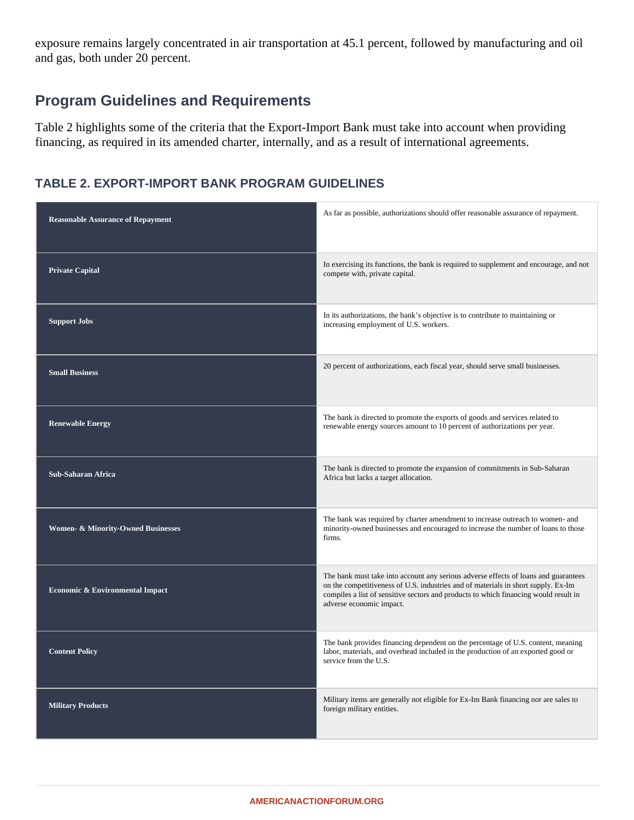exposure remains largely concentrated in air transportation at 45.1 percent, followed by manufacturing and oil and gas, both under 20 percent.

## **Program Guidelines and Requirements**

Table 2 highlights some of the criteria that the Export-Import Bank must take into account when providing financing, as required in its amended charter, internally, and as a result of international agreements.

#### **TABLE 2. EXPORT-IMPORT BANK PROGRAM GUIDELINES**

| <b>Reasonable Assurance of Repayment</b>      | As far as possible, authorizations should offer reasonable assurance of repayment.                                                                                                                                                                                                           |
|-----------------------------------------------|----------------------------------------------------------------------------------------------------------------------------------------------------------------------------------------------------------------------------------------------------------------------------------------------|
| <b>Private Capital</b>                        | In exercising its functions, the bank is required to supplement and encourage, and not<br>compete with, private capital.                                                                                                                                                                     |
| <b>Support Jobs</b>                           | In its authorizations, the bank's objective is to contribute to maintaining or<br>increasing employment of U.S. workers.                                                                                                                                                                     |
| <b>Small Business</b>                         | 20 percent of authorizations, each fiscal year, should serve small businesses.                                                                                                                                                                                                               |
| <b>Renewable Energy</b>                       | The bank is directed to promote the exports of goods and services related to<br>renewable energy sources amount to 10 percent of authorizations per year.                                                                                                                                    |
| <b>Sub-Saharan Africa</b>                     | The bank is directed to promote the expansion of commitments in Sub-Saharan<br>Africa but lacks a target allocation.                                                                                                                                                                         |
| <b>Women- &amp; Minority-Owned Businesses</b> | The bank was required by charter amendment to increase outreach to women- and<br>minority-owned businesses and encouraged to increase the number of loans to those<br>firms.                                                                                                                 |
| <b>Economic &amp; Environmental Impact</b>    | The bank must take into account any serious adverse effects of loans and guarantees<br>on the competitiveness of U.S. industries and of materials in short supply. Ex-Im<br>compiles a list of sensitive sectors and products to which financing would result in<br>adverse economic impact. |
| <b>Content Policy</b>                         | The bank provides financing dependent on the percentage of U.S. content, meaning<br>labor, materials, and overhead included in the production of an exported good or<br>service from the U.S.                                                                                                |
| <b>Military Products</b>                      | Military items are generally not eligible for Ex-Im Bank financing nor are sales to<br>foreign military entities.                                                                                                                                                                            |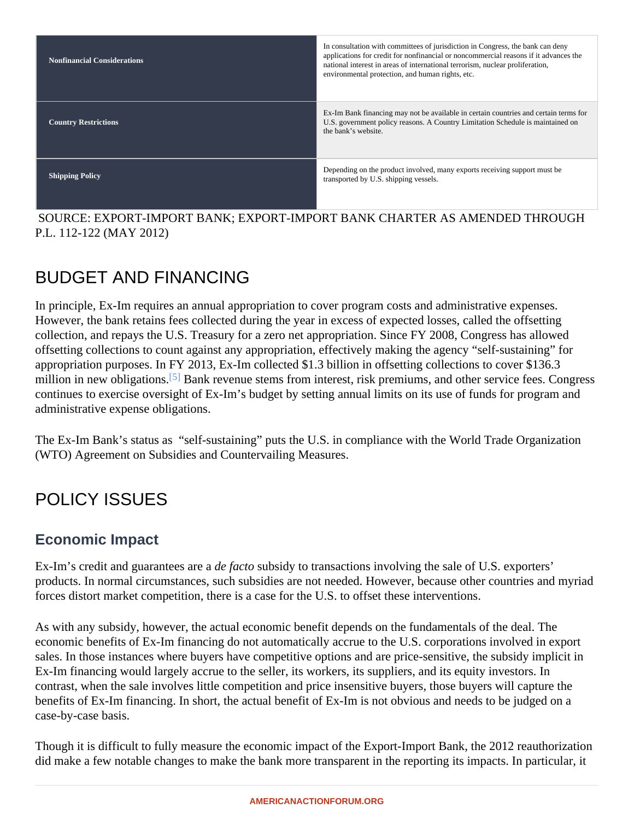| <b>Nonfinancial Considerations</b> | In consultation with committees of jurisdiction in Congress, the bank can deny<br>applications for credit for nonfinancial or noncommercial reasons if it advances the<br>national interest in areas of international terrorism, nuclear proliferation,<br>environmental protection, and human rights, etc. |
|------------------------------------|-------------------------------------------------------------------------------------------------------------------------------------------------------------------------------------------------------------------------------------------------------------------------------------------------------------|
| <b>Country Restrictions</b>        | Ex-Im Bank financing may not be available in certain countries and certainfterms<br>U.S. government policy reasons. A Country Limitation Schedule is maintained on<br>the bank's website.                                                                                                                   |
| <b>Shipping Policy</b>             | Depending on the product involved, many exports receiving support must be<br>transported by U.S. shipping vessels.                                                                                                                                                                                          |

 SOURCE: EXPORT-IMPORT BANK; EXPORT-IMPORT BANK CHARTER AS AMENDED THROUGH P.L. 112-122 (MAY 2012)

# BUDGET AND FINANCING

In principle, Ex-Im requires an annual appropriation to cover program costs and administrative expenses. However, the bank retains fees collected during the year in excess of expected losses, called the offsetting collection, and repays the U.S. Treasury for a zero net appropriation. Since FY 2008, Congress has allowed offsetting collections to count against any appropriation, effectively making the agency "self-sustaining" for appropriation purposes. In FY 2013, Ex-Im collected \$1.3 billion in offsetting collections to cover \$136.3 million in new obligations<sup>5]</sup> Bank revenue stems from interest, risk premiums, and other service fees. Congres continues to exercise oversight of Ex-Im's budget by setting annual limits on its use of funds for program and administrative expense obligations.

The Ex-Im Bank's status as "self-sustaining" puts the U.S. in compliance with the World Trade Organization (WTO) Agreement on Subsidies and Countervailing Measures.

# POLICY ISSUES

### Economic Impact

Ex-Im's credit and guarantees ardea facto subsidy to transactions involving the sale of U.S. exporters' products. In normal circumstances, such subsidies are not needed. However, because other countries and m forces distort market competition, there is a case for the U.S. to offset these interventions.

As with any subsidy, however, the actual economic benefit depends on the fundamentals of the deal. The economic benefits of Ex-Im financing do not automatically accrue to the U.S. corporations involved in export sales. In those instances where buyers have competitive options and are price-sensitive, the subsidy implicit Ex-Im financing would largely accrue to the seller, its workers, its suppliers, and its equity investors. In contrast, when the sale involves little competition and price insensitive buyers, those buyers will capture the benefits of Ex-Im financing. In short, the actual benefit of Ex-Im is not obvious and needs to be judged on a case-by-case basis.

Though it is difficult to fully measure the economic impact of the Export-Import Bank, the 2011 Panistion did make a few notable changes to make the bank more transparent in the reporting its impacts. In particular,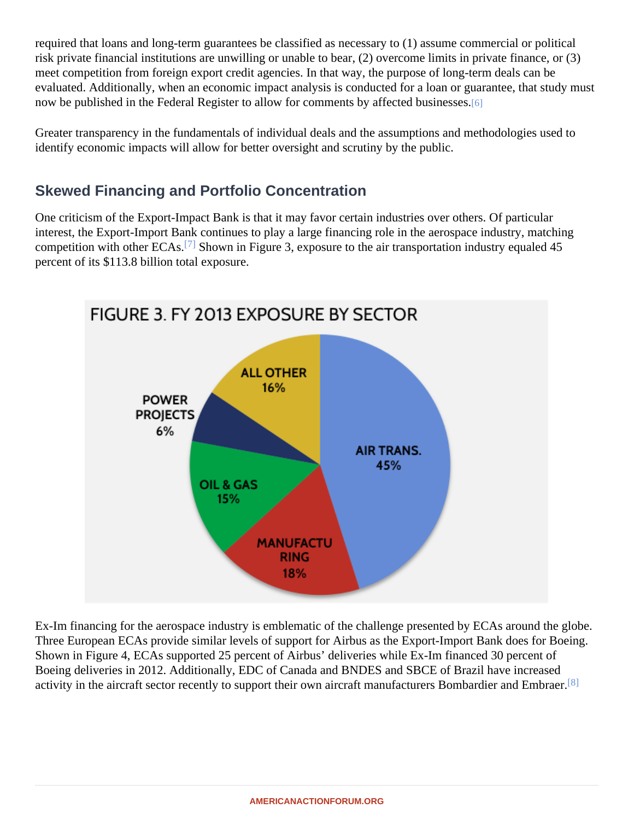required that loans and long-term guarantees be classified as necessary to (1) assume commercial or political risk private financial institutions are unwilling or unable to bear, (2) overcome limits in private finance, or (3) meet competition from foreign export credit agencies. In that way, the purpose of long-term deals can be evaluated. Additionally, when an economic impact analysis is conducted for a loan or guarantee, that study m now be published in the Federal Register to allow for comments by affected businesses.

Greater transparency in the fundamentals of individual deals and the assumptions and methodologies used to identify economic impacts will allow for better oversight and scrutiny by the public.

### Skewed Financing and Portfolio Concentration

One criticism of the Export-Impact Bank is that it may favor certain industries over others. Of particular interest, the Export-Import Bank continues to play a large financing role in the aerospace industry, matching competition with other  $ECA\overline{S}$ . Shown in Figure 3, exposure to the air transportation industry equaled 45 percent of its \$113.8 billion total exposure.

Ex-Im financing for the aerospace industry is emblematic of the challenge presented by ECAs around the Three European ECAs provide similar levels of support for Airbus as the Export-Import Bank does for Boeing. Shown in Figure 4, ECAs supported 25 percent of Airbus' deliveries while Ex-Im financed 30 percent of Boeing deliveries in 2012. Additionally, EDC of Canada and BNDES and SBCE of Brazil have increased activity in the aircraft sector recently to support their own aircraft manufacturers Bombardier and Ethbraer.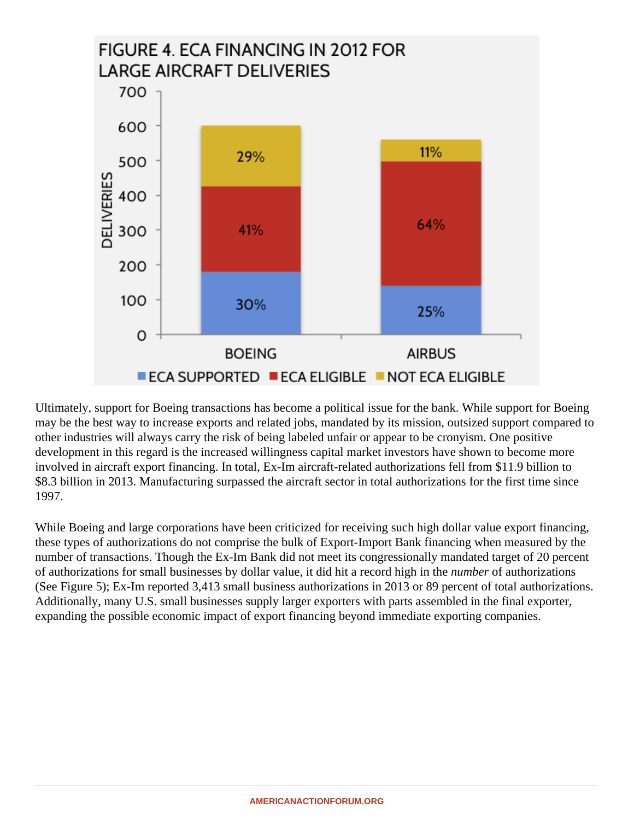

Ultimately, support for Boeing transactions has become a political issue for the bank. While support for Boeing may be the best way to increase exports and related jobs, mandated by its mission, outsized support compared to other industries will always carry the risk of being labeled unfair or appear to be cronyism. One positive development in this regard is the increased willingness capital market investors have shown to become more involved in aircraft export financing. In total, Ex-Im aircraft-related authorizations fell from \$11.9 billion to \$8.3 billion in 2013. Manufacturing surpassed the aircraft sector in total authorizations for the first time since 1997.

While Boeing and large corporations have been criticized for receiving such high dollar value export financing, these types of authorizations do not comprise the bulk of Export-Import Bank financing when measured by the number of transactions. Though the Ex-Im Bank did not meet its congressionally mandated target of 20 percent of authorizations for small businesses by dollar value, it did hit a record high in the *number* of authorizations (See Figure 5); Ex-Im reported 3,413 small business authorizations in 2013 or 89 percent of total authorizations. Additionally, many U.S. small businesses supply larger exporters with parts assembled in the final exporter, expanding the possible economic impact of export financing beyond immediate exporting companies.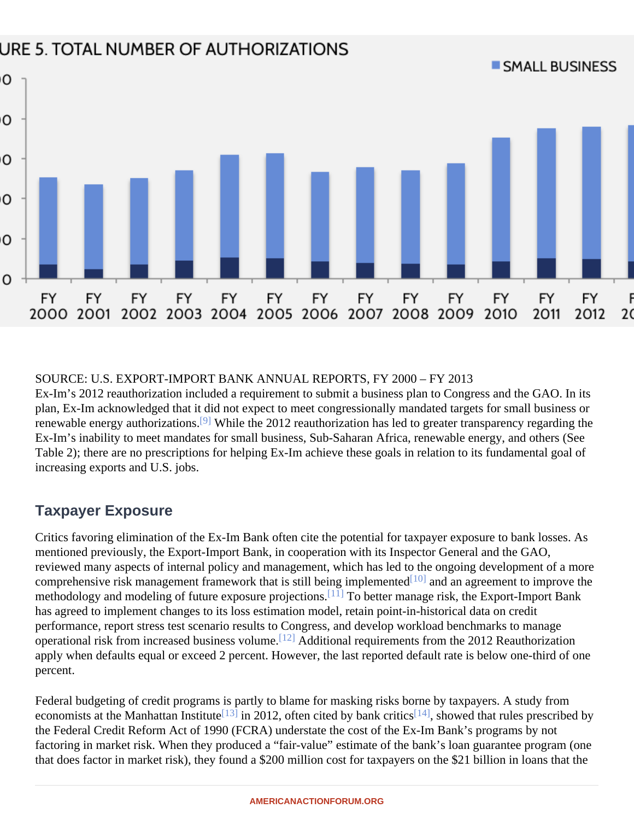#### SOURCE: U.S. EXPORT-IMPORT BANK ANNUAL REPORTS, FY 2000 – FY 2013

Ex-Im's 2012 reauthorization included a requirement to submit a business plan to Congress and the GAO. In plan, Ex-Im acknowledged that it did not expect to meet congressionally mandated targets for small business renewable energy authorizations While the 2012 reauthorization has led to greater transparency regarding the Ex-Im's inability to meet mandates for small business, Sub-Saharan Africa, renewable energy, and others (See Table 2); there are no prescriptions for helping Ex-Im achieve these goals in relation to its fundamental goal of increasing exports and U.S. jobs.

## Taxpayer Exposure

Critics favoring elimination of the Ex-Im Bank often cite the potential for taxpayer exposure to bank losses. As mentioned previously, the Export-Import Bank, in cooperation with its Inspector General and the GAO, reviewed many aspects of internal policy and management, which has led to the ongoing development of a m comprehensive risk management framework that is still being implemented an agreement to improve the methodology and modeling of future exposure projections. Detter manage risk, the Export-Import Bank has agreed to implement changes to its loss estimation model, retain point-in-historical data on credit performance, report stress test scenario results to Congress, and develop workload benchmarks to manage operational risk from increased business volume. Additional requirements from the 2012 Reauthorization apply when defaults equal or exceed 2 percent. However, the last reported default rate is below one-third of c percent.

Federal budgeting of credit programs is partly to blame for masking risks borne by taxpayers. A study from economists at the Manhattan Institute in 2012, often cited by bank critics, showed that rules prescribed by the Federal Credit Reform Act of 1990 (FCRA) understate the cost of the Ex-Im Bank's programs by not factoring in market risk. When they produced a "fair-value" estimate of the bank's loan guarantee program (or that does factor in market risk), they found a \$200 million cost for taxpayers on the \$21 billion in loans that the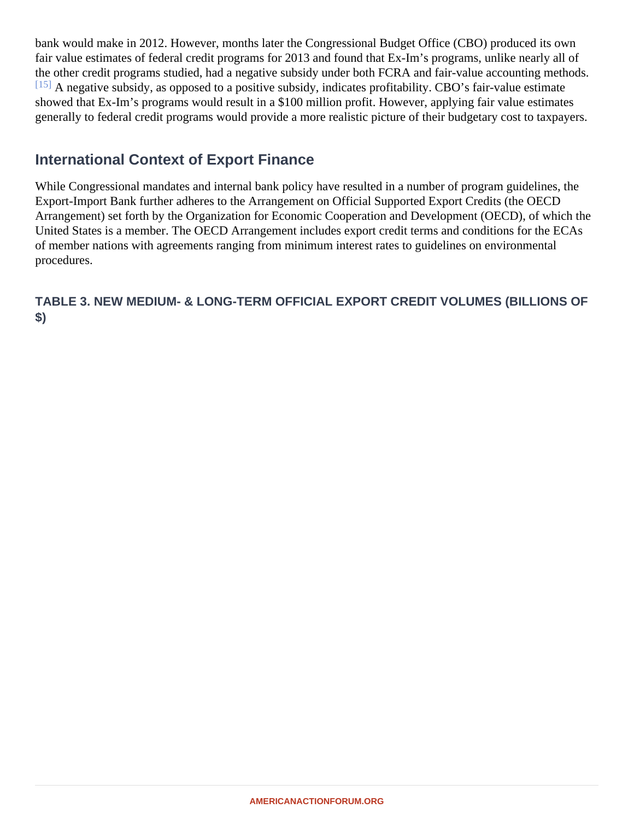bank would make in 2012. However, months later the Congressional Budget Office (CBO) produced its own fair value estimates of federal credit programs for 2013 and found that Ex-Im's programs, unlike nearly all of the other credit programs studied, had a negative subsidy under both FCRA and fair-value accounting method [15] A negative subsidy, as opposed to a positive subsidy, indicates profitability. CBO's fair-value estimate showed that Ex-Im's programs would result in a \$100 million profit. However, applying fair value estimates generally to federal credit programs would provide a more realistic picture of their budgetary cost to taxpayers.

#### International Context of Export Finance

While Congressional mandates and internal bank policy have resulted in a number of program guidelines, the Export-Import Bank further adheres to the Arrangement on Official Supported Export Credits (the OECD Arrangement) set forth by the Organization for Economic Cooperation and Development (OECD), of which th United States is a member. The OECD Arrangement includes export credit terms and conditions for the ECAs of member nations with agreements ranging from minimum interest rates to guidelines on environmental procedures.

TABLE 3. NEW MEDIUM- & LONG-TERM OFFICIAL EXPORT CREDIT VOLUMES (BILLIONS OF \$)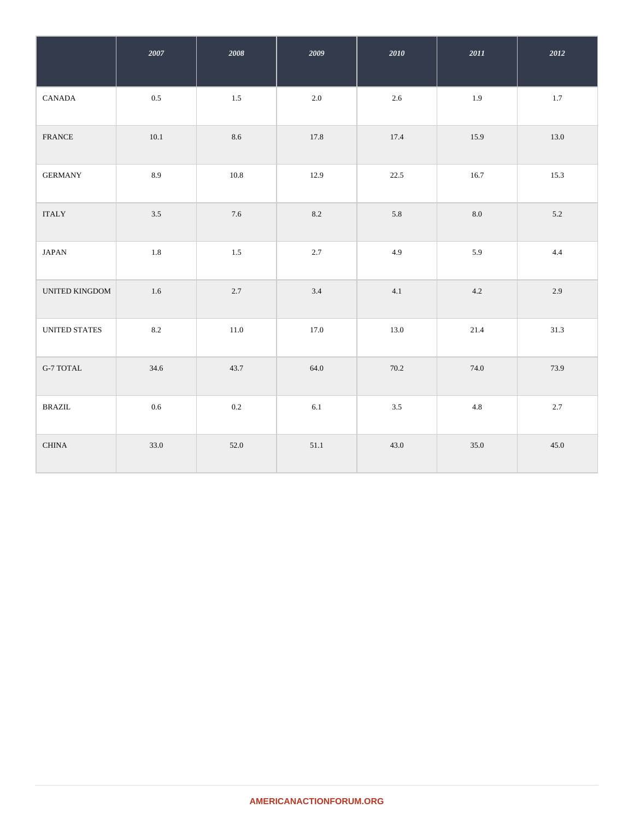|                         | 2007     | 2008    | 2009    | 2010    | $2011\,$ | 2012    |
|-------------------------|----------|---------|---------|---------|----------|---------|
| CANADA                  | $0.5\,$  | $1.5\,$ | 2.0     | $2.6\,$ | 1.9      | $1.7\,$ |
| <b>FRANCE</b>           | $10.1\,$ | 8.6     | 17.8    | 17.4    | 15.9     | 13.0    |
| <b>GERMANY</b>          | 8.9      | 10.8    | 12.9    | 22.5    | 16.7     | 15.3    |
| <b>ITALY</b>            | 3.5      | 7.6     | 8.2     | 5.8     | 8.0      | 5.2     |
| <b>JAPAN</b>            | $1.8\,$  | 1.5     | 2.7     | 4.9     | 5.9      | 4.4     |
| UNITED KINGDOM          | $1.6\,$  | 2.7     | 3.4     | 4.1     | 4.2      | 2.9     |
| UNITED STATES           | $8.2\,$  | 11.0    | 17.0    | 13.0    | 21.4     | 31.3    |
| G-7 TOTAL               | 34.6     | 43.7    | 64.0    | 70.2    | 74.0     | 73.9    |
| $\operatorname{BRAZIL}$ | $0.6\,$  | $0.2\,$ | $6.1\,$ | $3.5\,$ | $4.8\,$  | 2.7     |
| <b>CHINA</b>            | 33.0     | 52.0    | 51.1    | 43.0    | 35.0     | 45.0    |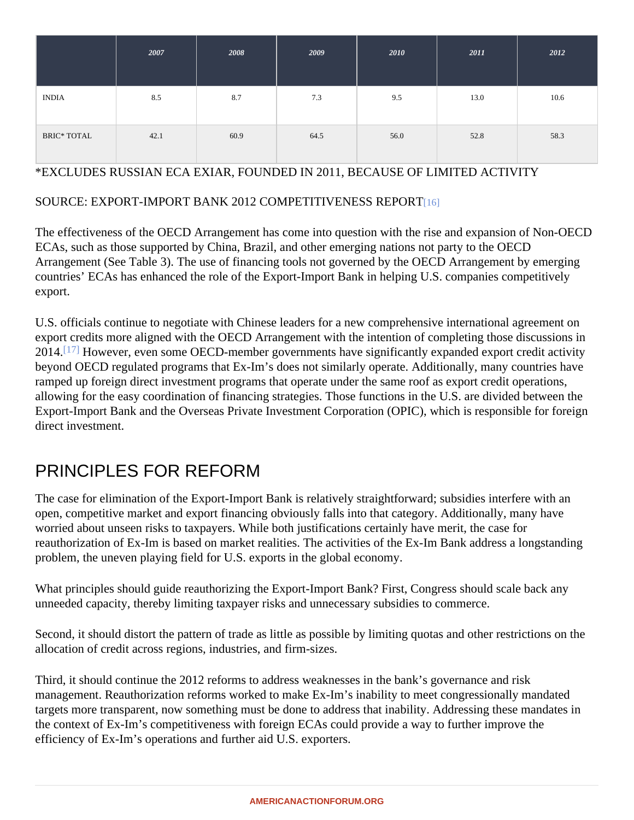|                    | 2007 | 2008 | 2009 | 2010 | 2011 | 2012 |
|--------------------|------|------|------|------|------|------|
| <b>INDIA</b>       | 8.5  | 8.7  | 7.3  | 9.5  | 13.0 | 10.6 |
| <b>BRIC* TOTAL</b> | 42.1 | 60.9 | 64.5 | 56.0 | 52.8 | 58.3 |

#### \*EXCLUDES RUSSIAN ECA EXIAR, FOUNDED IN 2011, BECAUSE OF LIMITED ACTIVITY

#### SOURCE: EXPORT-IMPORT BANK 2012 COMPETITIVENESS REPORT

The effectiveness of the OECD Arrangement has come into question with the rise and expansion of Non-OEC ECAs, such as those supported by China, Brazil, and other emerging nations not party to the OECD Arrangement (See Table 3). The use of financing tools not governed by the OECD Arrangement by emerging countries' ECAs has enhanced the role of the Export-Import Bank in helping U.S. companies competitively export.

U.S. officials continue to negotiate with Chinese leaders for a new comprehensive international agreement on export credits more aligned with the OECD Arrangement with the intention of completing those discussions in 2014<sup>[17]</sup> However, even some OECD-member governments have significantly expanded export credit activity beyond OECD regulated programs that Ex-Im's does not similarly operate. Additionally, many countries have ramped up foreign direct investment programs that operate under the same roof as export credit operations, allowing for the easy coordination of financing strategies. Those functions in the U.S. are divided between the Export-Import Bank and the Overseas Private Investment Corporation (OPIC), which is responsible for foreign direct investment.

## PRINCIPLES FOR REFORM

The case for elimination of the Export-Import Bank is relatively straightforward; subsidies interfere with an open, competitive market and export financing obviously falls into that category. Additionally, many have worried about unseen risks to taxpayers. While both justifications certainly have merit, the case for reauthorization of Ex-Im is based on market realities. The activities of the Ex-Im Bank address a longstanding problem, the uneven playing field for U.S. exports in the global economy.

What principles should guide reauthorizing the Export-Import Bank? First, Congress should scale back any unneeded capacity, thereby limiting taxpayer risks and unnecessary subsidies to commerce.

Second, it should distort the pattern of trade as little as possible by limiting quotas and other restrictions on th allocation of credit across regions, industries, and firm-sizes.

Third, it should continue the 2012 reforms to address weaknesses in the bank's governance and risk management. Reauthorization reforms worked to make Ex-Im's inability to meet congressionally mandated targets more transparent, now something must be done to address that inability. Addressing these mandates the context of Ex-Im's competitiveness with foreign ECAs could provide a way to further improve the efficiency of Ex-Im's operations and further aid U.S. exporters.